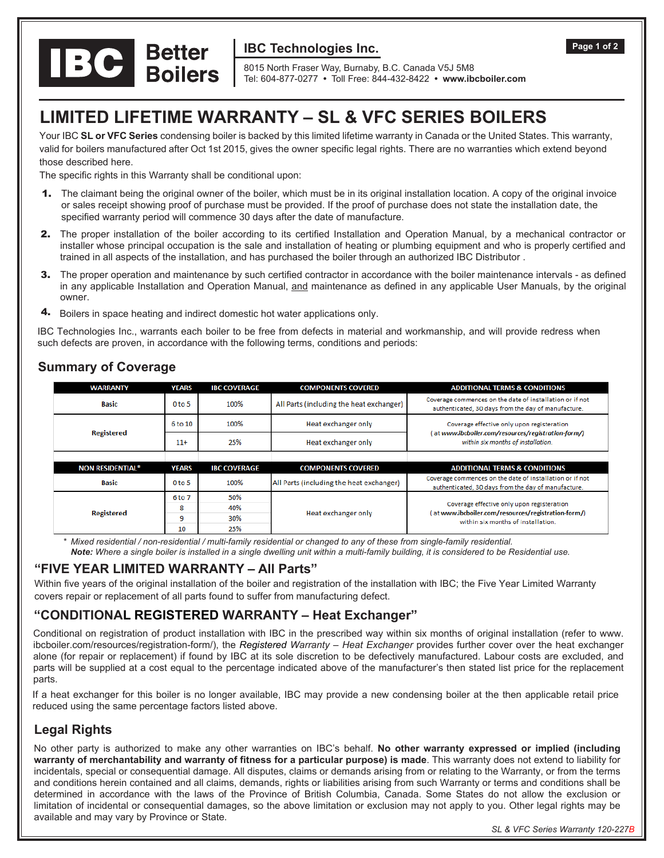

## **IBC Technologies Inc.**

8015 North Fraser Way, Burnaby, B.C. Canada V5J 5M8 Tel: 604-877-0277 **•** Toll Free: 844-432-8422 **• www.ibcboiler.com**

# **LIMITED LIFETIME WARRANTY – SL & VFC SERIES BOILERS**

Your IBC **SL or VFC Series** condensing boiler is backed by this limited lifetime warranty in Canada or the United States. This warranty, valid for boilers manufactured after Oct 1st 2015, gives the owner specific legal rights. There are no warranties which extend beyond those described here.

The specific rights in this Warranty shall be conditional upon:

- 1. The claimant being the original owner of the boiler, which must be in its original installation location. A copy of the original invoice or sales receipt showing proof of purchase must be provided. If the proof of purchase does not state the installation date, the specified warranty period will commence 30 days after the date of manufacture.
- 2. The proper installation of the boiler according to its certified Installation and Operation Manual, by a mechanical contractor or installer whose principal occupation is the sale and installation of heating or plumbing equipment and who is properly certified and trained in all aspects of the installation, and has purchased the boiler through an authorized IBC Distributor .
- 3. The proper operation and maintenance by such certified contractor in accordance with the boiler maintenance intervals as defined in any applicable Installation and Operation Manual, and maintenance as defined in any applicable User Manuals, by the original owner.
- 4. Boilers in space heating and indirect domestic hot water applications only.

IBC Technologies Inc., warrants each boiler to be free from defects in material and workmanship, and will provide redress when such defects are proven, in accordance with the following terms, conditions and periods:

| <b>WARRANTY</b>         | YEARS             | <b>IBC COVERAGE</b> | <b>COMPONENTS COVERED</b>                | <b>ADDITIONAL TERMS &amp; CONDITIONS</b>                                                                                                |
|-------------------------|-------------------|---------------------|------------------------------------------|-----------------------------------------------------------------------------------------------------------------------------------------|
| <b>Basic</b>            | 0 <sub>to 5</sub> | 100%                | All Parts (including the heat exchanger) | Coverage commences on the date of installation or if not<br>authenticated, 30 days from the day of manufacture.                         |
| <b>Registered</b>       | 6 to 10           | 100%                | Heat exchanger only                      | Coverage effective only upon registeration<br>(at www.ibcboiler.com/resources/registration-form/)<br>within six months of installation. |
|                         | $11+$             | 25%                 | Heat exchanger only                      |                                                                                                                                         |
|                         |                   |                     |                                          |                                                                                                                                         |
| <b>NON RESIDENTIAL*</b> | <b>YEARS</b>      | <b>IBC COVERAGE</b> | <b>COMPONENTS COVERED</b>                | <b>ADDITIONAL TERMS &amp; CONDITIONS</b>                                                                                                |
| Basic                   | 0 <sub>to 5</sub> | 100%                | All Parts (including the heat exchanger) | Coverage commences on the date of installation or if not<br>authenticated, 30 days from the day of manufacture.                         |
| <b>Registered</b>       | 6 to 7            | 50%                 | Heat exchanger only                      | Coverage effective only upon registeration<br>(at www.ibcboiler.com/resources/registration-form/)<br>within six months of installation. |
|                         | 8                 | 40%                 |                                          |                                                                                                                                         |
|                         | 9                 | 30%                 |                                          |                                                                                                                                         |
|                         |                   |                     |                                          |                                                                                                                                         |

### **Summary of Coverage**

*\* Mixed residential / non-residential / multi-family residential or changed to any of these from single-family residential. Note: Where a single boiler is installed in a single dwelling unit within a multi-family building, it is considered to be Residential use.*

#### **"FIVE YEAR LIMITED WARRANTY – All Parts"**

Within five years of the original installation of the boiler and registration of the installation with IBC; the Five Year Limited Warranty covers repair or replacement of all parts found to suffer from manufacturing defect.

## **"CONDITIONAL REGISTERED WARRANTY – Heat Exchanger"**

Conditional on registration of product installation with IBC in the prescribed way within six months of original installation (refer to www. ibcboiler.com/resources/registration-form/), the *Registered Warranty – Heat Exchanger* provides further cover over the heat exchanger alone (for repair or replacement) if found by IBC at its sole discretion to be defectively manufactured. Labour costs are excluded, and parts will be supplied at a cost equal to the percentage indicated above of the manufacturer's then stated list price for the replacement parts.

If a heat exchanger for this boiler is no longer available, IBC may provide a new condensing boiler at the then applicable retail price reduced using the same percentage factors listed above.

#### **Legal Rights**

No other party is authorized to make any other warranties on IBC's behalf. **No other warranty expressed or implied (including warranty of merchantability and warranty of fitness for a particular purpose) is made**. This warranty does not extend to liability for incidentals, special or consequential damage. All disputes, claims or demands arising from or relating to the Warranty, or from the terms and conditions herein contained and all claims, demands, rights or liabilities arising from such Warranty or terms and conditions shall be determined in accordance with the laws of the Province of British Columbia, Canada. Some States do not allow the exclusion or limitation of incidental or consequential damages, so the above limitation or exclusion may not apply to you. Other legal rights may be available and may vary by Province or State.